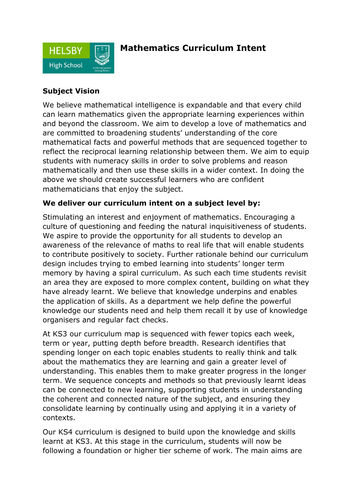

## **Mathematics Curriculum Intent**

## **Subject Vision**

We believe mathematical intelligence is expandable and that every child can learn mathematics given the appropriate learning experiences within and beyond the classroom. We aim to develop a love of mathematics and are committed to broadening students' understanding of the core mathematical facts and powerful methods that are sequenced together to reflect the reciprocal learning relationship between them. We aim to equip students with numeracy skills in order to solve problems and reason mathematically and then use these skills in a wider context. In doing the above we should create successful learners who are confident mathematicians that enjoy the subject.

## **We deliver our curriculum intent on a subject level by:**

Stimulating an interest and enjoyment of mathematics. Encouraging a culture of questioning and feeding the natural inquisitiveness of students. We aspire to provide the opportunity for all students to develop an awareness of the relevance of maths to real life that will enable students to contribute positively to society. Further rationale behind our curriculum design includes trying to embed learning into students' longer term memory by having a spiral curriculum. As such each time students revisit an area they are exposed to more complex content, building on what they have already learnt. We believe that knowledge underpins and enables the application of skills. As a department we help define the powerful knowledge our students need and help them recall it by use of knowledge organisers and regular fact checks.

At KS3 our curriculum map is sequenced with fewer topics each week, term or year, putting depth before breadth. Research identifies that spending longer on each topic enables students to really think and talk about the mathematics they are learning and gain a greater level of understanding. This enables them to make greater progress in the longer term. We sequence concepts and methods so that previously learnt ideas can be connected to new learning, supporting students in understanding the coherent and connected nature of the subject, and ensuring they consolidate learning by continually using and applying it in a variety of contexts.

Our KS4 curriculum is designed to build upon the knowledge and skills learnt at KS3. At this stage in the curriculum, students will now be following a foundation or higher tier scheme of work. The main aims are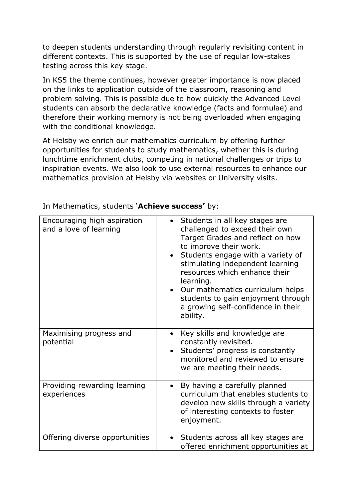to deepen students understanding through regularly revisiting content in different contexts. This is supported by the use of regular low-stakes testing across this key stage.

In KS5 the theme continues, however greater importance is now placed on the links to application outside of the classroom, reasoning and problem solving. This is possible due to how quickly the Advanced Level students can absorb the declarative knowledge (facts and formulae) and therefore their working memory is not being overloaded when engaging with the conditional knowledge.

At Helsby we enrich our mathematics curriculum by offering further opportunities for students to study mathematics, whether this is during lunchtime enrichment clubs, competing in national challenges or trips to inspiration events. We also look to use external resources to enhance our mathematics provision at Helsby via websites or University visits.

| Encouraging high aspiration<br>and a love of learning | Students in all key stages are<br>challenged to exceed their own<br>Target Grades and reflect on how<br>to improve their work.<br>Students engage with a variety of<br>$\bullet$<br>stimulating independent learning<br>resources which enhance their<br>learning.<br>• Our mathematics curriculum helps<br>students to gain enjoyment through<br>a growing self-confidence in their<br>ability. |
|-------------------------------------------------------|--------------------------------------------------------------------------------------------------------------------------------------------------------------------------------------------------------------------------------------------------------------------------------------------------------------------------------------------------------------------------------------------------|
| Maximising progress and<br>potential                  | Key skills and knowledge are<br>$\bullet$<br>constantly revisited.<br>Students' progress is constantly<br>monitored and reviewed to ensure<br>we are meeting their needs.                                                                                                                                                                                                                        |
| Providing rewarding learning<br>experiences           | By having a carefully planned<br>$\bullet$<br>curriculum that enables students to<br>develop new skills through a variety<br>of interesting contexts to foster<br>enjoyment.                                                                                                                                                                                                                     |
| Offering diverse opportunities                        | Students across all key stages are<br>$\bullet$<br>offered enrichment opportunities at                                                                                                                                                                                                                                                                                                           |

In Mathematics, students '**Achieve success'** by: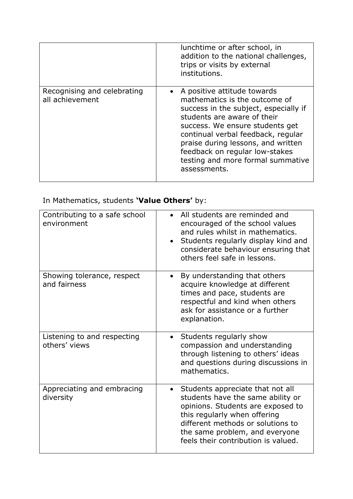|                                                | lunchtime or after school, in<br>addition to the national challenges,<br>trips or visits by external<br>institutions.                                                                                                                                                                                                                      |
|------------------------------------------------|--------------------------------------------------------------------------------------------------------------------------------------------------------------------------------------------------------------------------------------------------------------------------------------------------------------------------------------------|
| Recognising and celebrating<br>all achievement | A positive attitude towards<br>mathematics is the outcome of<br>success in the subject, especially if<br>students are aware of their<br>success. We ensure students get<br>continual verbal feedback, regular<br>praise during lessons, and written<br>feedback on regular low-stakes<br>testing and more formal summative<br>assessments. |

## In Mathematics, students **'Value Others'** by:

| Contributing to a safe school<br>environment | All students are reminded and<br>encouraged of the school values<br>and rules whilst in mathematics.<br>Students regularly display kind and<br>considerate behaviour ensuring that<br>others feel safe in lessons.                                                    |
|----------------------------------------------|-----------------------------------------------------------------------------------------------------------------------------------------------------------------------------------------------------------------------------------------------------------------------|
| Showing tolerance, respect<br>and fairness   | By understanding that others<br>acquire knowledge at different<br>times and pace, students are<br>respectful and kind when others<br>ask for assistance or a further<br>explanation.                                                                                  |
| Listening to and respecting<br>others' views | Students regularly show<br>$\bullet$<br>compassion and understanding<br>through listening to others' ideas<br>and questions during discussions in<br>mathematics.                                                                                                     |
| Appreciating and embracing<br>diversity      | Students appreciate that not all<br>$\bullet$<br>students have the same ability or<br>opinions. Students are exposed to<br>this regularly when offering<br>different methods or solutions to<br>the same problem, and everyone<br>feels their contribution is valued. |